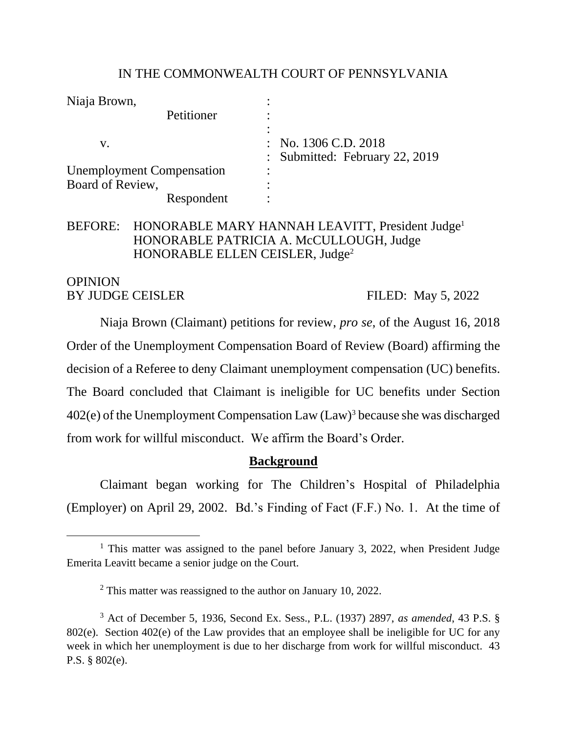### IN THE COMMONWEALTH COURT OF PENNSYLVANIA

| Niaja Brown,                     |                                 |
|----------------------------------|---------------------------------|
| Petitioner                       |                                 |
|                                  |                                 |
| V.                               | $\therefore$ No. 1306 C.D. 2018 |
|                                  | Submitted: February 22, 2019    |
| <b>Unemployment Compensation</b> | $\bullet$                       |
| Board of Review,                 |                                 |
| Respondent                       |                                 |

# BEFORE: HONORABLE MARY HANNAH LEAVITT, President Judge<sup>1</sup> HONORABLE PATRICIA A. McCULLOUGH, Judge HONORABLE ELLEN CEISLER, Judge<sup>2</sup>

### OPINION BY JUDGE CEISLER FILED: May 5, 2022

Niaja Brown (Claimant) petitions for review, *pro se*, of the August 16, 2018 Order of the Unemployment Compensation Board of Review (Board) affirming the decision of a Referee to deny Claimant unemployment compensation (UC) benefits. The Board concluded that Claimant is ineligible for UC benefits under Section 402(e) of the Unemployment Compensation Law (Law)<sup>3</sup> because she was discharged from work for willful misconduct. We affirm the Board's Order.

# **Background**

Claimant began working for The Children's Hospital of Philadelphia (Employer) on April 29, 2002. Bd.'s Finding of Fact (F.F.) No. 1. At the time of

<sup>&</sup>lt;sup>1</sup> This matter was assigned to the panel before January 3, 2022, when President Judge Emerita Leavitt became a senior judge on the Court.

<sup>&</sup>lt;sup>2</sup> This matter was reassigned to the author on January 10, 2022.

<sup>3</sup> Act of December 5, 1936, Second Ex. Sess., P.L. (1937) 2897, *as amended*, 43 P.S. § 802(e). Section 402(e) of the Law provides that an employee shall be ineligible for UC for any week in which her unemployment is due to her discharge from work for willful misconduct. 43 P.S. § 802(e).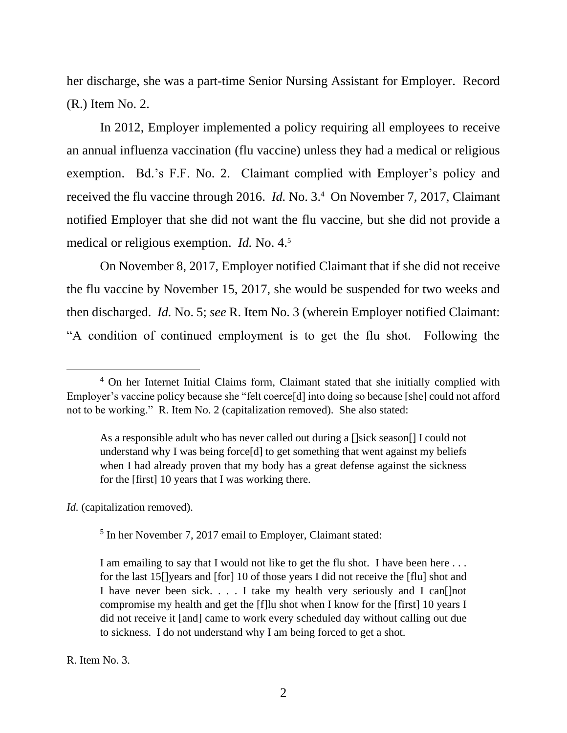her discharge, she was a part-time Senior Nursing Assistant for Employer. Record (R.) Item No. 2.

In 2012, Employer implemented a policy requiring all employees to receive an annual influenza vaccination (flu vaccine) unless they had a medical or religious exemption. Bd.'s F.F. No. 2. Claimant complied with Employer's policy and received the flu vaccine through 2016. *Id.* No. 3.<sup>4</sup> On November 7, 2017, Claimant notified Employer that she did not want the flu vaccine, but she did not provide a medical or religious exemption. *Id.* No. 4.<sup>5</sup>

On November 8, 2017, Employer notified Claimant that if she did not receive the flu vaccine by November 15, 2017, she would be suspended for two weeks and then discharged. *Id.* No. 5; *see* R. Item No. 3 (wherein Employer notified Claimant: "A condition of continued employment is to get the flu shot. Following the

*Id.* (capitalization removed).

<sup>5</sup> In her November 7, 2017 email to Employer, Claimant stated:

R. Item No. 3.

<sup>4</sup> On her Internet Initial Claims form, Claimant stated that she initially complied with Employer's vaccine policy because she "felt coerce[d] into doing so because [she] could not afford not to be working." R. Item No. 2 (capitalization removed). She also stated:

As a responsible adult who has never called out during a []sick season[] I could not understand why I was being force[d] to get something that went against my beliefs when I had already proven that my body has a great defense against the sickness for the [first] 10 years that I was working there.

I am emailing to say that I would not like to get the flu shot. I have been here ... for the last 15[]years and [for] 10 of those years I did not receive the [flu] shot and I have never been sick. . . . I take my health very seriously and I can[]not compromise my health and get the [f]lu shot when I know for the [first] 10 years I did not receive it [and] came to work every scheduled day without calling out due to sickness. I do not understand why I am being forced to get a shot.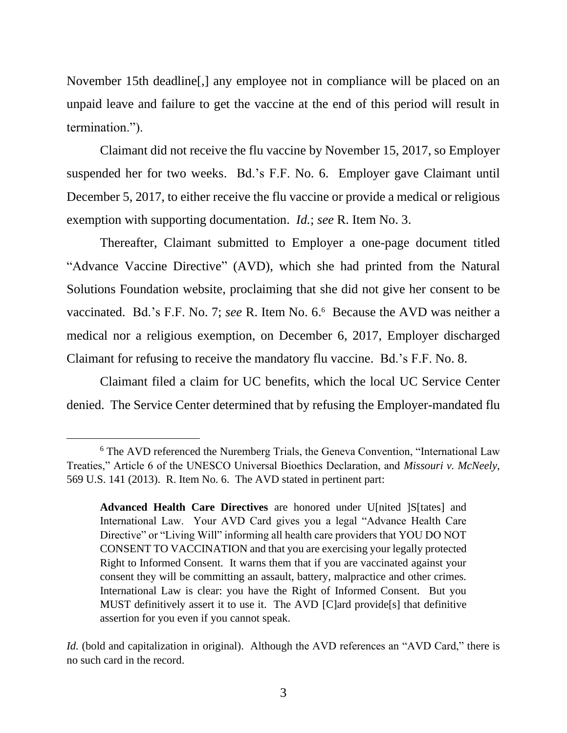November 15th deadline[,] any employee not in compliance will be placed on an unpaid leave and failure to get the vaccine at the end of this period will result in termination.").

Claimant did not receive the flu vaccine by November 15, 2017, so Employer suspended her for two weeks. Bd.'s F.F. No. 6. Employer gave Claimant until December 5, 2017, to either receive the flu vaccine or provide a medical or religious exemption with supporting documentation. *Id.*; *see* R. Item No. 3.

Thereafter, Claimant submitted to Employer a one-page document titled "Advance Vaccine Directive" (AVD), which she had printed from the Natural Solutions Foundation website, proclaiming that she did not give her consent to be vaccinated. Bd.'s F.F. No. 7; see R. Item No. 6.<sup>6</sup> Because the AVD was neither a medical nor a religious exemption, on December 6, 2017, Employer discharged Claimant for refusing to receive the mandatory flu vaccine. Bd.'s F.F. No. 8.

Claimant filed a claim for UC benefits, which the local UC Service Center denied. The Service Center determined that by refusing the Employer-mandated flu

<sup>&</sup>lt;sup>6</sup> The AVD referenced the Nuremberg Trials, the Geneva Convention, "International Law Treaties," Article 6 of the UNESCO Universal Bioethics Declaration, and *Missouri v. McNeely*, 569 U.S. 141 (2013). R. Item No. 6. The AVD stated in pertinent part:

**Advanced Health Care Directives** are honored under U[nited ]S[tates] and International Law. Your AVD Card gives you a legal "Advance Health Care Directive" or "Living Will" informing all health care providers that YOU DO NOT CONSENT TO VACCINATION and that you are exercising your legally protected Right to Informed Consent. It warns them that if you are vaccinated against your consent they will be committing an assault, battery, malpractice and other crimes. International Law is clear: you have the Right of Informed Consent. But you MUST definitively assert it to use it. The AVD [C]ard provide[s] that definitive assertion for you even if you cannot speak.

*Id.* (bold and capitalization in original). Although the AVD references an "AVD Card," there is no such card in the record.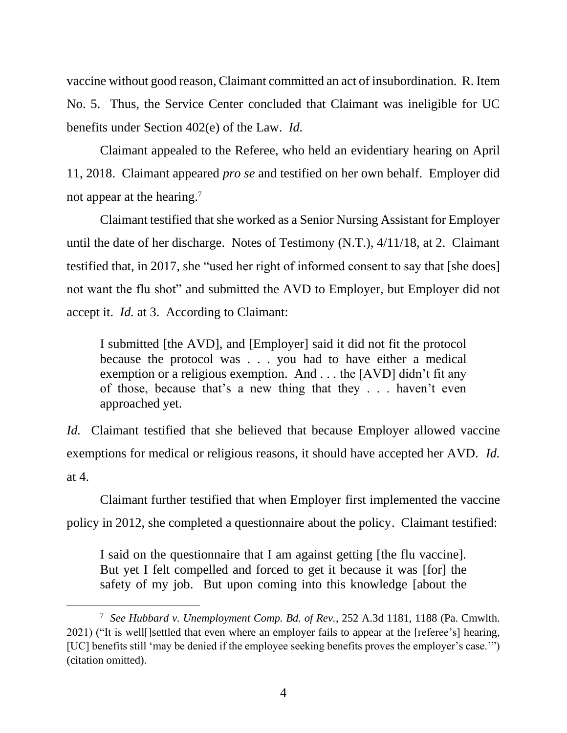vaccine without good reason, Claimant committed an act of insubordination. R. Item No. 5. Thus, the Service Center concluded that Claimant was ineligible for UC benefits under Section 402(e) of the Law. *Id.*

Claimant appealed to the Referee, who held an evidentiary hearing on April 11, 2018. Claimant appeared *pro se* and testified on her own behalf. Employer did not appear at the hearing.<sup>7</sup>

Claimant testified that she worked as a Senior Nursing Assistant for Employer until the date of her discharge. Notes of Testimony (N.T.), 4/11/18, at 2. Claimant testified that, in 2017, she "used her right of informed consent to say that [she does] not want the flu shot" and submitted the AVD to Employer, but Employer did not accept it. *Id.* at 3. According to Claimant:

I submitted [the AVD], and [Employer] said it did not fit the protocol because the protocol was . . . you had to have either a medical exemption or a religious exemption. And . . . the [AVD] didn't fit any of those, because that's a new thing that they . . . haven't even approached yet.

*Id.* Claimant testified that she believed that because Employer allowed vaccine exemptions for medical or religious reasons, it should have accepted her AVD. *Id.* at 4.

Claimant further testified that when Employer first implemented the vaccine policy in 2012, she completed a questionnaire about the policy. Claimant testified:

I said on the questionnaire that I am against getting [the flu vaccine]. But yet I felt compelled and forced to get it because it was [for] the safety of my job. But upon coming into this knowledge [about the

<sup>7</sup> *See Hubbard v. Unemployment Comp. Bd. of Rev.*, 252 A.3d 1181, 1188 (Pa. Cmwlth. 2021) ("It is well[]settled that even where an employer fails to appear at the [referee's] hearing, [UC] benefits still 'may be denied if the employee seeking benefits proves the employer's case.'") (citation omitted).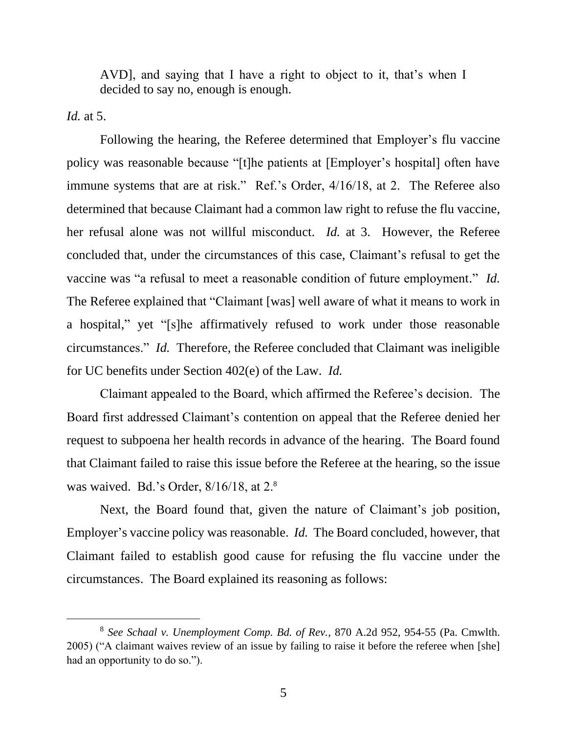AVD], and saying that I have a right to object to it, that's when I decided to say no, enough is enough.

*Id.* at 5.

Following the hearing, the Referee determined that Employer's flu vaccine policy was reasonable because "[t]he patients at [Employer's hospital] often have immune systems that are at risk." Ref.'s Order, 4/16/18, at 2. The Referee also determined that because Claimant had a common law right to refuse the flu vaccine, her refusal alone was not willful misconduct. *Id.* at 3. However, the Referee concluded that, under the circumstances of this case, Claimant's refusal to get the vaccine was "a refusal to meet a reasonable condition of future employment." *Id.* The Referee explained that "Claimant [was] well aware of what it means to work in a hospital," yet "[s]he affirmatively refused to work under those reasonable circumstances." *Id.* Therefore, the Referee concluded that Claimant was ineligible for UC benefits under Section 402(e) of the Law. *Id.*

Claimant appealed to the Board, which affirmed the Referee's decision. The Board first addressed Claimant's contention on appeal that the Referee denied her request to subpoena her health records in advance of the hearing. The Board found that Claimant failed to raise this issue before the Referee at the hearing, so the issue was waived. Bd.'s Order, 8/16/18, at 2.<sup>8</sup>

Next, the Board found that, given the nature of Claimant's job position, Employer's vaccine policy was reasonable. *Id.* The Board concluded, however, that Claimant failed to establish good cause for refusing the flu vaccine under the circumstances. The Board explained its reasoning as follows:

<sup>8</sup> *See Schaal v. Unemployment Comp. Bd. of Rev.*, 870 A.2d 952, 954-55 (Pa. Cmwlth. 2005) ("A claimant waives review of an issue by failing to raise it before the referee when [she] had an opportunity to do so.").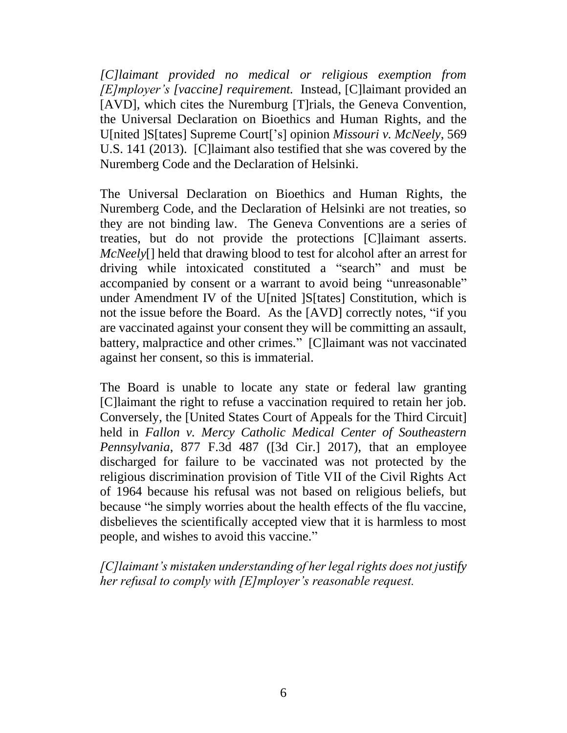*[C]laimant provided no medical or religious exemption from [E]mployer's [vaccine] requirement.* Instead, [C]laimant provided an [AVD], which cites the Nuremburg [T]rials, the Geneva Convention, the Universal Declaration on Bioethics and Human Rights, and the U[nited ]S[tates] Supreme Court['s] opinion *Missouri v. McNeely*, 569 U.S. 141 (2013). [C]laimant also testified that she was covered by the Nuremberg Code and the Declaration of Helsinki.

The Universal Declaration on Bioethics and Human Rights, the Nuremberg Code, and the Declaration of Helsinki are not treaties, so they are not binding law. The Geneva Conventions are a series of treaties, but do not provide the protections [C]laimant asserts. *McNeely*[] held that drawing blood to test for alcohol after an arrest for driving while intoxicated constituted a "search" and must be accompanied by consent or a warrant to avoid being "unreasonable" under Amendment IV of the U[nited ]S[tates] Constitution, which is not the issue before the Board. As the [AVD] correctly notes, "if you are vaccinated against your consent they will be committing an assault, battery, malpractice and other crimes." [C]laimant was not vaccinated against her consent, so this is immaterial.

The Board is unable to locate any state or federal law granting [C]laimant the right to refuse a vaccination required to retain her job. Conversely, the [United States Court of Appeals for the Third Circuit] held in *Fallon v. Mercy Catholic Medical Center of Southeastern Pennsylvania*, 877 F.3d 487 ([3d Cir.] 2017), that an employee discharged for failure to be vaccinated was not protected by the religious discrimination provision of Title VII of the Civil Rights Act of 1964 because his refusal was not based on religious beliefs, but because "he simply worries about the health effects of the flu vaccine, disbelieves the scientifically accepted view that it is harmless to most people, and wishes to avoid this vaccine."

*[C]laimant's mistaken understanding of her legal rights does not justify her refusal to comply with [E]mployer's reasonable request.*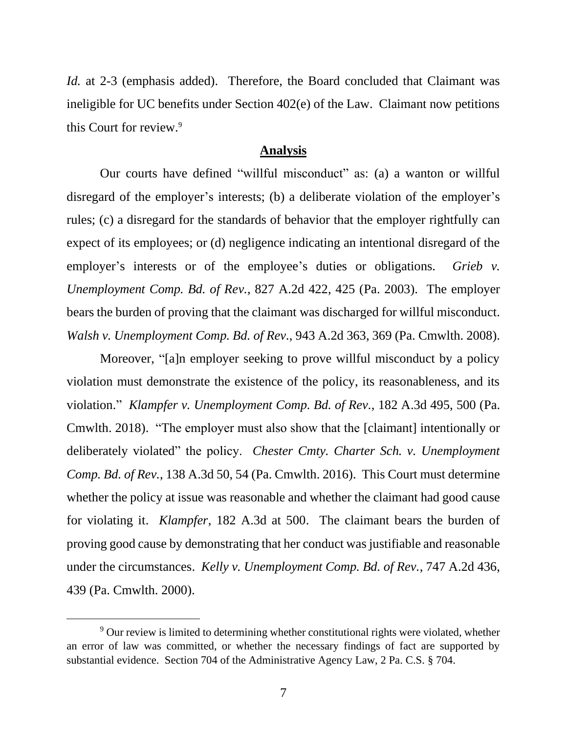*Id.* at 2-3 (emphasis added). Therefore, the Board concluded that Claimant was ineligible for UC benefits under Section 402(e) of the Law. Claimant now petitions this Court for review.<sup>9</sup>

#### **Analysis**

Our courts have defined "willful misconduct" as: (a) a wanton or willful disregard of the employer's interests; (b) a deliberate violation of the employer's rules; (c) a disregard for the standards of behavior that the employer rightfully can expect of its employees; or (d) negligence indicating an intentional disregard of the employer's interests or of the employee's duties or obligations. *Grieb v. Unemployment Comp. Bd. of Rev.*, 827 A.2d 422, 425 (Pa. 2003). The employer bears the burden of proving that the claimant was discharged for willful misconduct. *Walsh v. Unemployment Comp. Bd. of Rev.*, 943 A.2d 363, 369 (Pa. Cmwlth. 2008).

Moreover, "[a]n employer seeking to prove willful misconduct by a policy violation must demonstrate the existence of the policy, its reasonableness, and its violation." *Klampfer v. Unemployment Comp. Bd. of Rev.*, 182 A.3d 495, 500 (Pa. Cmwlth. 2018). "The employer must also show that the [claimant] intentionally or deliberately violated" the policy. *Chester Cmty. Charter Sch. v. Unemployment Comp. Bd. of Rev.*, 138 A.3d 50, 54 (Pa. Cmwlth. 2016). This Court must determine whether the policy at issue was reasonable and whether the claimant had good cause for violating it. *Klampfer*, 182 A.3d at 500. The claimant bears the burden of proving good cause by demonstrating that her conduct was justifiable and reasonable under the circumstances. *Kelly v. Unemployment Comp. Bd. of Rev.*, 747 A.2d 436, 439 (Pa. Cmwlth. 2000).

<sup>&</sup>lt;sup>9</sup> Our review is limited to determining whether constitutional rights were violated, whether an error of law was committed, or whether the necessary findings of fact are supported by substantial evidence. Section 704 of the Administrative Agency Law, 2 Pa. C.S. § 704.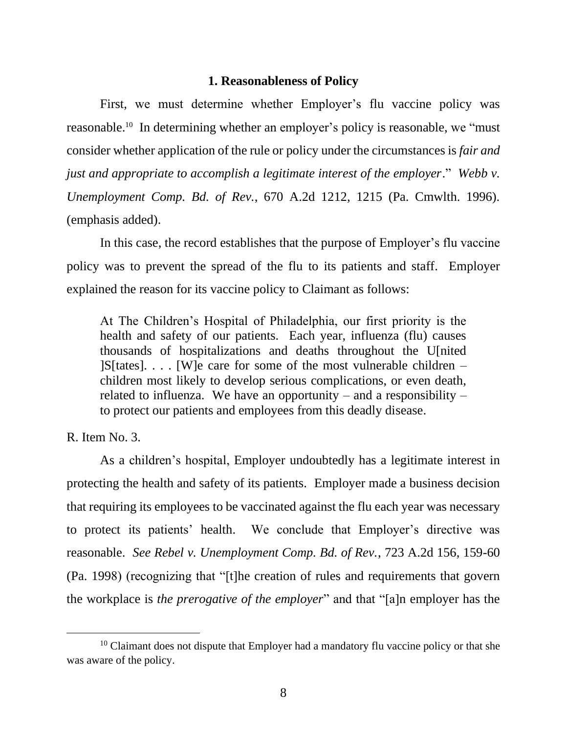### **1. Reasonableness of Policy**

First, we must determine whether Employer's flu vaccine policy was reasonable.<sup>10</sup> In determining whether an employer's policy is reasonable, we "must consider whether application of the rule or policy under the circumstances is *fair and just and appropriate to accomplish a legitimate interest of the employer*." *Webb v. Unemployment Comp. Bd. of Rev.*, 670 A.2d 1212, 1215 (Pa. Cmwlth. 1996). (emphasis added).

In this case, the record establishes that the purpose of Employer's flu vaccine policy was to prevent the spread of the flu to its patients and staff. Employer explained the reason for its vaccine policy to Claimant as follows:

At The Children's Hospital of Philadelphia, our first priority is the health and safety of our patients. Each year, influenza (flu) causes thousands of hospitalizations and deaths throughout the U[nited  $|S|$  [S] [states]. . . . [W] e care for some of the most vulnerable children – children most likely to develop serious complications, or even death, related to influenza. We have an opportunity – and a responsibility – to protect our patients and employees from this deadly disease.

R. Item No. 3.

As a children's hospital, Employer undoubtedly has a legitimate interest in protecting the health and safety of its patients. Employer made a business decision that requiring its employees to be vaccinated against the flu each year was necessary to protect its patients' health. We conclude that Employer's directive was reasonable. *See Rebel v. Unemployment Comp. Bd. of Rev.*, 723 A.2d 156, 159-60 (Pa. 1998) (recognizing that "[t]he creation of rules and requirements that govern the workplace is *the prerogative of the employer*" and that "[a]n employer has the

 $10$  Claimant does not dispute that Employer had a mandatory flu vaccine policy or that she was aware of the policy.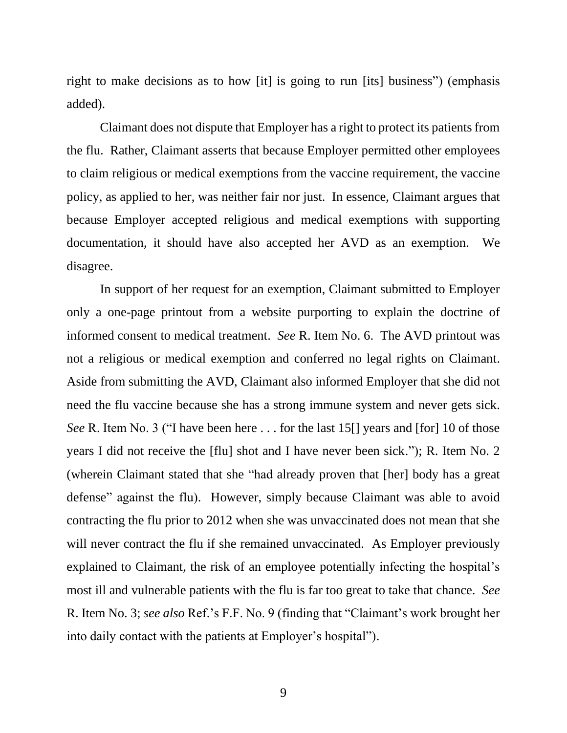right to make decisions as to how [it] is going to run [its] business") (emphasis added).

Claimant does not dispute that Employer has a right to protect its patients from the flu. Rather, Claimant asserts that because Employer permitted other employees to claim religious or medical exemptions from the vaccine requirement, the vaccine policy, as applied to her, was neither fair nor just. In essence, Claimant argues that because Employer accepted religious and medical exemptions with supporting documentation, it should have also accepted her AVD as an exemption. We disagree.

In support of her request for an exemption, Claimant submitted to Employer only a one-page printout from a website purporting to explain the doctrine of informed consent to medical treatment. *See* R. Item No. 6. The AVD printout was not a religious or medical exemption and conferred no legal rights on Claimant. Aside from submitting the AVD, Claimant also informed Employer that she did not need the flu vaccine because she has a strong immune system and never gets sick. *See* R. Item No. 3 ("I have been here . . . for the last 15<sup>[]</sup> years and [for] 10 of those years I did not receive the [flu] shot and I have never been sick."); R. Item No. 2 (wherein Claimant stated that she "had already proven that [her] body has a great defense" against the flu). However, simply because Claimant was able to avoid contracting the flu prior to 2012 when she was unvaccinated does not mean that she will never contract the flu if she remained unvaccinated. As Employer previously explained to Claimant, the risk of an employee potentially infecting the hospital's most ill and vulnerable patients with the flu is far too great to take that chance. *See* R. Item No. 3; *see also* Ref.'s F.F. No. 9 (finding that "Claimant's work brought her into daily contact with the patients at Employer's hospital").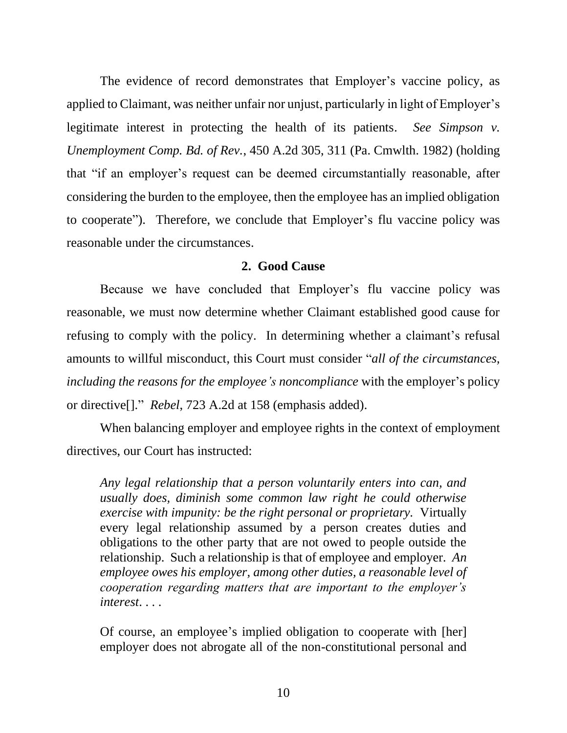The evidence of record demonstrates that Employer's vaccine policy, as applied to Claimant, was neither unfair nor unjust, particularly in light of Employer's legitimate interest in protecting the health of its patients. *See Simpson v. Unemployment Comp. Bd. of Rev.*, 450 A.2d 305, 311 (Pa. Cmwlth. 1982) (holding that "if an employer's request can be deemed circumstantially reasonable, after considering the burden to the employee, then the employee has an implied obligation to cooperate"). Therefore, we conclude that Employer's flu vaccine policy was reasonable under the circumstances.

### **2. Good Cause**

Because we have concluded that Employer's flu vaccine policy was reasonable, we must now determine whether Claimant established good cause for refusing to comply with the policy. In determining whether a claimant's refusal amounts to willful misconduct, this Court must consider "*all of the circumstances, including the reasons for the employee's noncompliance* with the employer's policy or directive[]." *Rebel*, 723 A.2d at 158 (emphasis added).

When balancing employer and employee rights in the context of employment directives, our Court has instructed:

*Any legal relationship that a person voluntarily enters into can, and usually does, diminish some common law right he could otherwise exercise with impunity: be the right personal or proprietary.* Virtually every legal relationship assumed by a person creates duties and obligations to the other party that are not owed to people outside the relationship. Such a relationship is that of employee and employer. *An employee owes his employer, among other duties, a reasonable level of cooperation regarding matters that are important to the employer's interest*. . . .

Of course, an employee's implied obligation to cooperate with [her] employer does not abrogate all of the non-constitutional personal and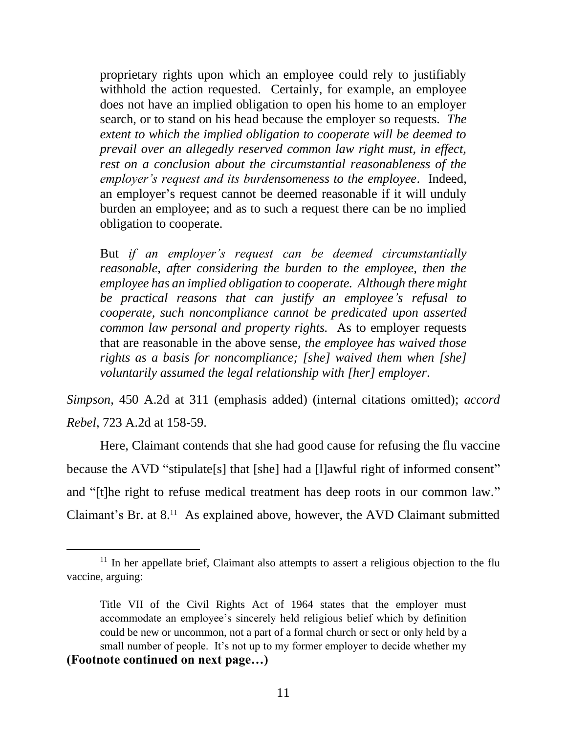proprietary rights upon which an employee could rely to justifiably withhold the action requested. Certainly, for example, an employee does not have an implied obligation to open his home to an employer search, or to stand on his head because the employer so requests. *The extent to which the implied obligation to cooperate will be deemed to prevail over an allegedly reserved common law right must, in effect, rest on a conclusion about the circumstantial reasonableness of the employer's request and its burdensomeness to the employee*. Indeed, an employer's request cannot be deemed reasonable if it will unduly burden an employee; and as to such a request there can be no implied obligation to cooperate.

But *if an employer's request can be deemed circumstantially reasonable, after considering the burden to the employee, then the employee has an implied obligation to cooperate. Although there might be practical reasons that can justify an employee's refusal to cooperate, such noncompliance cannot be predicated upon asserted common law personal and property rights.* As to employer requests that are reasonable in the above sense, *the employee has waived those rights as a basis for noncompliance; [she] waived them when [she] voluntarily assumed the legal relationship with [her] employer*.

*Simpson*, 450 A.2d at 311 (emphasis added) (internal citations omitted); *accord Rebel*, 723 A.2d at 158-59.

Here, Claimant contends that she had good cause for refusing the flu vaccine because the AVD "stipulate[s] that [she] had a [l]awful right of informed consent" and "[t]he right to refuse medical treatment has deep roots in our common law." Claimant's Br. at 8.<sup>11</sup> As explained above, however, the AVD Claimant submitted

<sup>&</sup>lt;sup>11</sup> In her appellate brief, Claimant also attempts to assert a religious objection to the flu vaccine, arguing:

Title VII of the Civil Rights Act of 1964 states that the employer must accommodate an employee's sincerely held religious belief which by definition could be new or uncommon, not a part of a formal church or sect or only held by a small number of people. It's not up to my former employer to decide whether my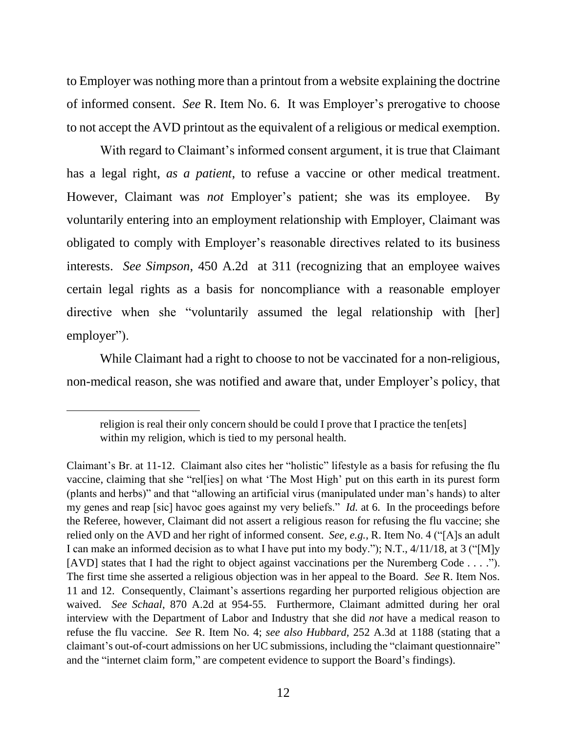to Employer was nothing more than a printout from a website explaining the doctrine of informed consent. *See* R. Item No. 6. It was Employer's prerogative to choose to not accept the AVD printout as the equivalent of a religious or medical exemption.

With regard to Claimant's informed consent argument, it is true that Claimant has a legal right, *as a patient*, to refuse a vaccine or other medical treatment. However, Claimant was *not* Employer's patient; she was its employee. By voluntarily entering into an employment relationship with Employer, Claimant was obligated to comply with Employer's reasonable directives related to its business interests. *See Simpson*, 450 A.2d at 311 (recognizing that an employee waives certain legal rights as a basis for noncompliance with a reasonable employer directive when she "voluntarily assumed the legal relationship with [her] employer").

While Claimant had a right to choose to not be vaccinated for a non-religious, non-medical reason, she was notified and aware that, under Employer's policy, that

religion is real their only concern should be could I prove that I practice the ten[ets] within my religion, which is tied to my personal health.

Claimant's Br. at 11-12. Claimant also cites her "holistic" lifestyle as a basis for refusing the flu vaccine, claiming that she "rel[ies] on what 'The Most High' put on this earth in its purest form (plants and herbs)" and that "allowing an artificial virus (manipulated under man's hands) to alter my genes and reap [sic] havoc goes against my very beliefs." *Id.* at 6. In the proceedings before the Referee, however, Claimant did not assert a religious reason for refusing the flu vaccine; she relied only on the AVD and her right of informed consent. *See, e.g.*, R. Item No. 4 ("[A]s an adult I can make an informed decision as to what I have put into my body."); N.T., 4/11/18, at 3 ("[M]y [AVD] states that I had the right to object against vaccinations per the Nuremberg Code . . . ."). The first time she asserted a religious objection was in her appeal to the Board. *See* R. Item Nos. 11 and 12. Consequently, Claimant's assertions regarding her purported religious objection are waived. *See Schaal*, 870 A.2d at 954-55. Furthermore, Claimant admitted during her oral interview with the Department of Labor and Industry that she did *not* have a medical reason to refuse the flu vaccine. *See* R. Item No. 4; *see also Hubbard*, 252 A.3d at 1188 (stating that a claimant's out-of-court admissions on her UC submissions, including the "claimant questionnaire" and the "internet claim form," are competent evidence to support the Board's findings).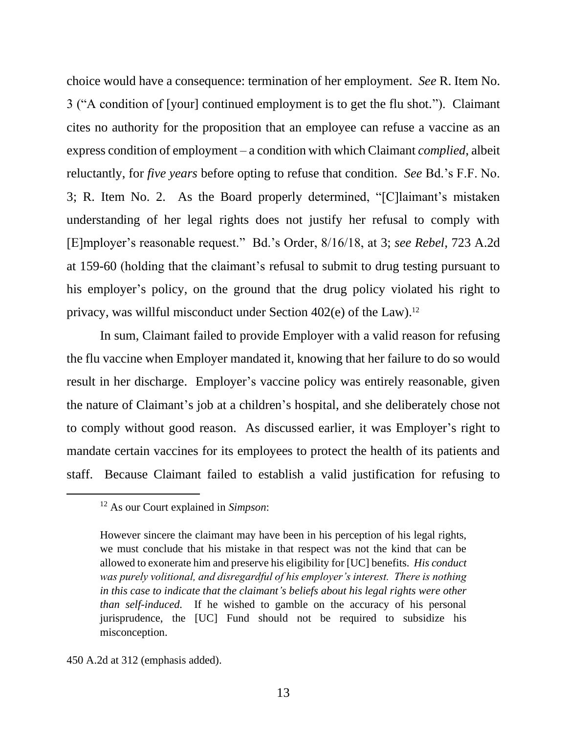choice would have a consequence: termination of her employment. *See* R. Item No. 3 ("A condition of [your] continued employment is to get the flu shot."). Claimant cites no authority for the proposition that an employee can refuse a vaccine as an express condition of employment – a condition with which Claimant *complied*, albeit reluctantly, for *five years* before opting to refuse that condition. *See* Bd.'s F.F. No. 3; R. Item No. 2. As the Board properly determined, "[C]laimant's mistaken understanding of her legal rights does not justify her refusal to comply with [E]mployer's reasonable request." Bd.'s Order, 8/16/18, at 3; *see Rebel*, 723 A.2d at 159-60 (holding that the claimant's refusal to submit to drug testing pursuant to his employer's policy, on the ground that the drug policy violated his right to privacy, was willful misconduct under Section 402(e) of the Law). 12

In sum, Claimant failed to provide Employer with a valid reason for refusing the flu vaccine when Employer mandated it, knowing that her failure to do so would result in her discharge. Employer's vaccine policy was entirely reasonable, given the nature of Claimant's job at a children's hospital, and she deliberately chose not to comply without good reason. As discussed earlier, it was Employer's right to mandate certain vaccines for its employees to protect the health of its patients and staff. Because Claimant failed to establish a valid justification for refusing to

<sup>12</sup> As our Court explained in *Simpson*:

However sincere the claimant may have been in his perception of his legal rights, we must conclude that his mistake in that respect was not the kind that can be allowed to exonerate him and preserve his eligibility for [UC] benefits. *His conduct was purely volitional, and disregardful of his employer's interest. There is nothing in this case to indicate that the claimant's beliefs about his legal rights were other than self-induced.* If he wished to gamble on the accuracy of his personal jurisprudence, the [UC] Fund should not be required to subsidize his misconception.

<sup>450</sup> A.2d at 312 (emphasis added).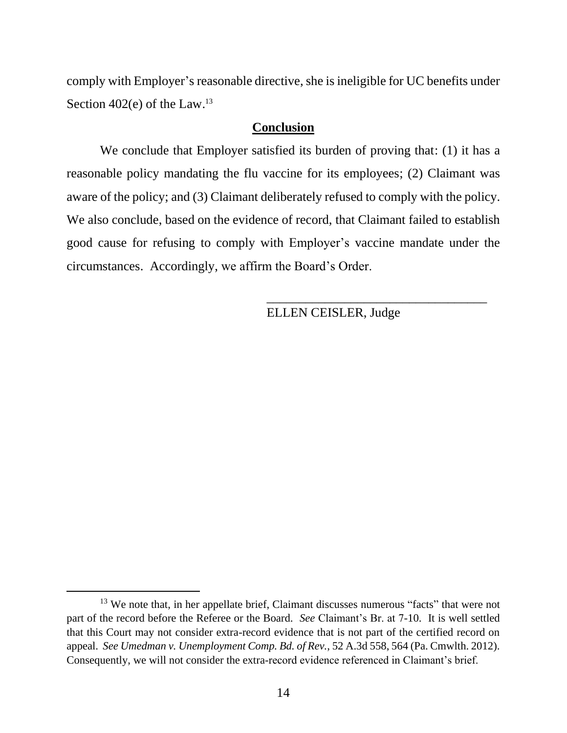comply with Employer's reasonable directive, she is ineligible for UC benefits under Section 402(e) of the Law.<sup>13</sup>

### **Conclusion**

We conclude that Employer satisfied its burden of proving that: (1) it has a reasonable policy mandating the flu vaccine for its employees; (2) Claimant was aware of the policy; and (3) Claimant deliberately refused to comply with the policy. We also conclude, based on the evidence of record, that Claimant failed to establish good cause for refusing to comply with Employer's vaccine mandate under the circumstances. Accordingly, we affirm the Board's Order.

ELLEN CEISLER, Judge

\_\_\_\_\_\_\_\_\_\_\_\_\_\_\_\_\_\_\_\_\_\_\_\_\_\_\_\_\_\_\_\_\_\_

<sup>&</sup>lt;sup>13</sup> We note that, in her appellate brief, Claimant discusses numerous "facts" that were not part of the record before the Referee or the Board. *See* Claimant's Br. at 7-10. It is well settled that this Court may not consider extra-record evidence that is not part of the certified record on appeal. *See Umedman v. Unemployment Comp. Bd. of Rev.*, 52 A.3d 558, 564 (Pa. Cmwlth. 2012). Consequently, we will not consider the extra-record evidence referenced in Claimant's brief.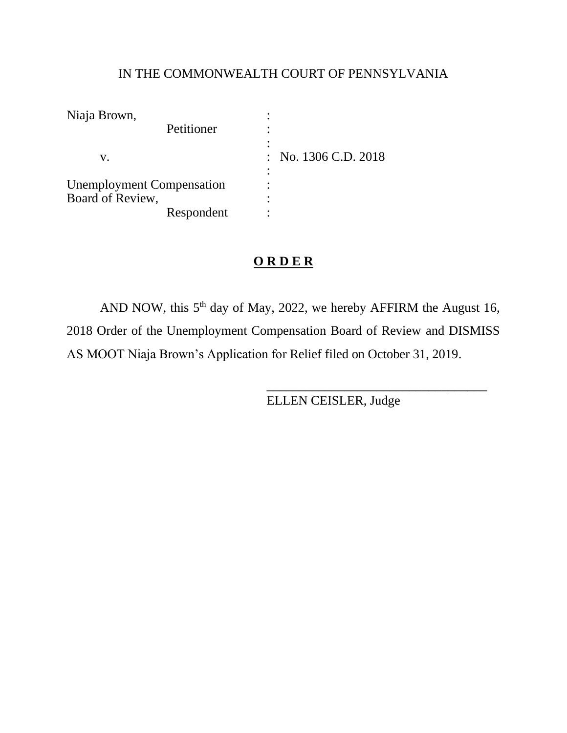# IN THE COMMONWEALTH COURT OF PENNSYLVANIA

| Niaja Brown,                     |            |                      |  |
|----------------------------------|------------|----------------------|--|
|                                  | Petitioner |                      |  |
| V.                               |            | : No. 1306 C.D. 2018 |  |
| <b>Unemployment Compensation</b> |            |                      |  |
| Board of Review,                 |            |                      |  |
|                                  | Respondent |                      |  |

# **O R D E R**

AND NOW, this  $5<sup>th</sup>$  day of May, 2022, we hereby AFFIRM the August 16, 2018 Order of the Unemployment Compensation Board of Review and DISMISS AS MOOT Niaja Brown's Application for Relief filed on October 31, 2019.

ELLEN CEISLER, Judge

\_\_\_\_\_\_\_\_\_\_\_\_\_\_\_\_\_\_\_\_\_\_\_\_\_\_\_\_\_\_\_\_\_\_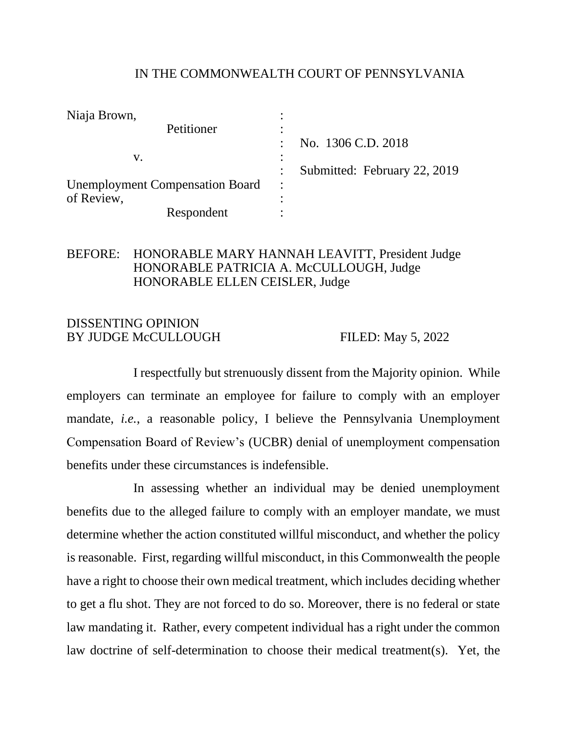### IN THE COMMONWEALTH COURT OF PENNSYLVANIA

| Niaja Brown,                           |                              |
|----------------------------------------|------------------------------|
| Petitioner                             |                              |
|                                        | No. 1306 C.D. 2018           |
| v.                                     |                              |
|                                        | Submitted: February 22, 2019 |
| <b>Unemployment Compensation Board</b> |                              |
| of Review,                             |                              |
| Respondent                             |                              |

### BEFORE: HONORABLE MARY HANNAH LEAVITT, President Judge HONORABLE PATRICIA A. McCULLOUGH, Judge HONORABLE ELLEN CEISLER, Judge

### DISSENTING OPINION BY JUDGE McCULLOUGH FILED: May 5, 2022

I respectfully but strenuously dissent from the Majority opinion. While employers can terminate an employee for failure to comply with an employer mandate, *i.e.*, a reasonable policy, I believe the Pennsylvania Unemployment Compensation Board of Review's (UCBR) denial of unemployment compensation benefits under these circumstances is indefensible.

In assessing whether an individual may be denied unemployment benefits due to the alleged failure to comply with an employer mandate, we must determine whether the action constituted willful misconduct, and whether the policy is reasonable. First, regarding willful misconduct, in this Commonwealth the people have a right to choose their own medical treatment, which includes deciding whether to get a flu shot. They are not forced to do so. Moreover, there is no federal or state law mandating it. Rather, every competent individual has a right under the common law doctrine of self-determination to choose their medical treatment(s). Yet, the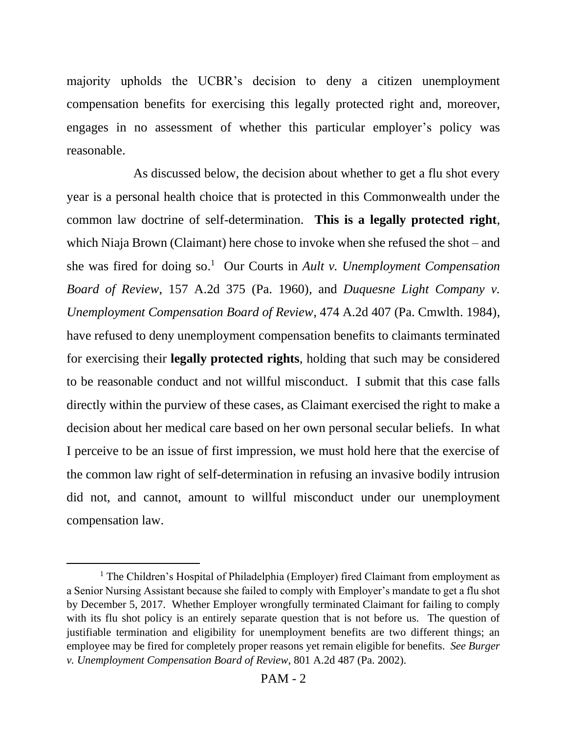majority upholds the UCBR's decision to deny a citizen unemployment compensation benefits for exercising this legally protected right and, moreover, engages in no assessment of whether this particular employer's policy was reasonable.

As discussed below, the decision about whether to get a flu shot every year is a personal health choice that is protected in this Commonwealth under the common law doctrine of self-determination. **This is a legally protected right**, which Niaja Brown (Claimant) here chose to invoke when she refused the shot – and she was fired for doing so. <sup>1</sup> Our Courts in *Ault v. Unemployment Compensation Board of Review*, 157 A.2d 375 (Pa. 1960), and *Duquesne Light Company v. Unemployment Compensation Board of Review*, 474 A.2d 407 (Pa. Cmwlth. 1984), have refused to deny unemployment compensation benefits to claimants terminated for exercising their **legally protected rights**, holding that such may be considered to be reasonable conduct and not willful misconduct. I submit that this case falls directly within the purview of these cases, as Claimant exercised the right to make a decision about her medical care based on her own personal secular beliefs. In what I perceive to be an issue of first impression, we must hold here that the exercise of the common law right of self-determination in refusing an invasive bodily intrusion did not, and cannot, amount to willful misconduct under our unemployment compensation law.

<sup>&</sup>lt;sup>1</sup> The Children's Hospital of Philadelphia (Employer) fired Claimant from employment as a Senior Nursing Assistant because she failed to comply with Employer's mandate to get a flu shot by December 5, 2017. Whether Employer wrongfully terminated Claimant for failing to comply with its flu shot policy is an entirely separate question that is not before us. The question of justifiable termination and eligibility for unemployment benefits are two different things; an employee may be fired for completely proper reasons yet remain eligible for benefits. *See Burger v. Unemployment Compensation Board of Review*, 801 A.2d 487 (Pa. 2002).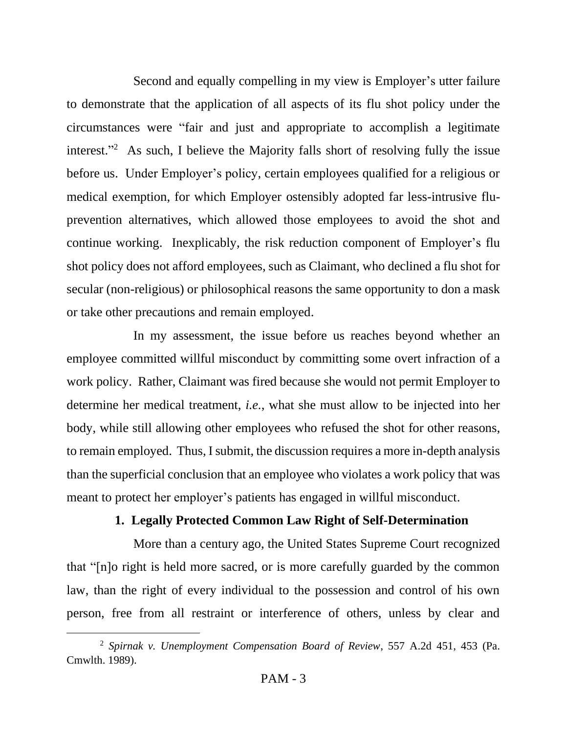Second and equally compelling in my view is Employer's utter failure to demonstrate that the application of all aspects of its flu shot policy under the circumstances were "fair and just and appropriate to accomplish a legitimate interest."<sup>2</sup> As such, I believe the Majority falls short of resolving fully the issue before us. Under Employer's policy, certain employees qualified for a religious or medical exemption, for which Employer ostensibly adopted far less-intrusive fluprevention alternatives, which allowed those employees to avoid the shot and continue working. Inexplicably, the risk reduction component of Employer's flu shot policy does not afford employees, such as Claimant, who declined a flu shot for secular (non-religious) or philosophical reasons the same opportunity to don a mask or take other precautions and remain employed.

In my assessment, the issue before us reaches beyond whether an employee committed willful misconduct by committing some overt infraction of a work policy. Rather, Claimant was fired because she would not permit Employer to determine her medical treatment, *i.e.*, what she must allow to be injected into her body, while still allowing other employees who refused the shot for other reasons, to remain employed. Thus, I submit, the discussion requires a more in-depth analysis than the superficial conclusion that an employee who violates a work policy that was meant to protect her employer's patients has engaged in willful misconduct.

# **1. Legally Protected Common Law Right of Self-Determination**

More than a century ago, the United States Supreme Court recognized that "[n]o right is held more sacred, or is more carefully guarded by the common law, than the right of every individual to the possession and control of his own person, free from all restraint or interference of others, unless by clear and

<sup>2</sup> *Spirnak v. Unemployment Compensation Board of Review*, 557 A.2d 451, 453 (Pa. Cmwlth. 1989).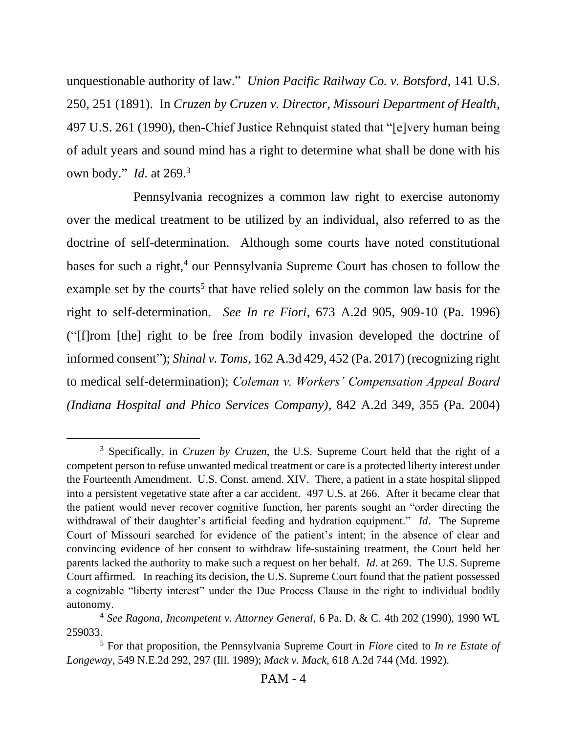unquestionable authority of law." *Union Pacific Railway Co. v. Botsford*, 141 U.S. 250, 251 (1891). In *Cruzen by Cruzen v. Director, Missouri Department of Health*, 497 U.S. 261 (1990), then-Chief Justice Rehnquist stated that "[e]very human being of adult years and sound mind has a right to determine what shall be done with his own body." *Id*. at 269.<sup>3</sup>

Pennsylvania recognizes a common law right to exercise autonomy over the medical treatment to be utilized by an individual, also referred to as the doctrine of self-determination. Although some courts have noted constitutional bases for such a right,<sup>4</sup> our Pennsylvania Supreme Court has chosen to follow the example set by the courts<sup>5</sup> that have relied solely on the common law basis for the right to self-determination. *See In re Fiori*, 673 A.2d 905, 909-10 (Pa. 1996) ("[f]rom [the] right to be free from bodily invasion developed the doctrine of informed consent"); *Shinal v. Toms*, 162 A.3d 429, 452 (Pa. 2017) (recognizing right to medical self-determination); *Coleman v. Workers' Compensation Appeal Board (Indiana Hospital and Phico Services Company)*, 842 A.2d 349, 355 (Pa. 2004)

<sup>3</sup> Specifically, in *Cruzen by Cruzen*, the U.S. Supreme Court held that the right of a competent person to refuse unwanted medical treatment or care is a protected liberty interest under the Fourteenth Amendment. U.S. Const. amend. XIV. There, a patient in a state hospital slipped into a persistent vegetative state after a car accident. 497 U.S. at 266. After it became clear that the patient would never recover cognitive function, her parents sought an "order directing the withdrawal of their daughter's artificial feeding and hydration equipment." *Id*. The Supreme Court of Missouri searched for evidence of the patient's intent; in the absence of clear and convincing evidence of her consent to withdraw life-sustaining treatment, the Court held her parents lacked the authority to make such a request on her behalf. *Id*. at 269. The U.S. Supreme Court affirmed. In reaching its decision, the U.S. Supreme Court found that the patient possessed a cognizable "liberty interest" under the Due Process Clause in the right to individual bodily autonomy.

<sup>4</sup> *See Ragona, Incompetent v. Attorney General*, 6 Pa. D. & C. 4th 202 (1990), 1990 WL 259033.

<sup>5</sup> For that proposition, the Pennsylvania Supreme Court in *Fiore* cited to *In re Estate of Longeway*, 549 N.E.2d 292, 297 (Ill. 1989); *Mack v. Mack*, 618 A.2d 744 (Md. 1992).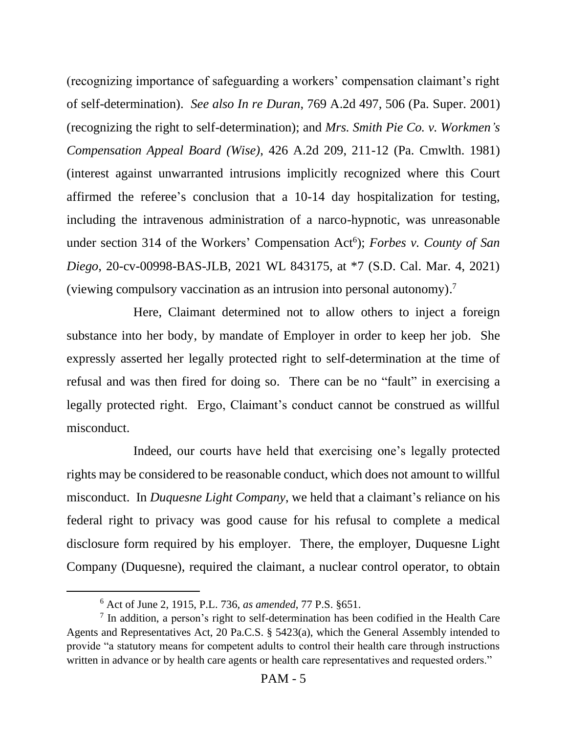(recognizing importance of safeguarding a workers' compensation claimant's right of self-determination). *See also In re Duran*, 769 A.2d 497, 506 (Pa. Super. 2001) (recognizing the right to self-determination); and *Mrs. Smith Pie Co. v. Workmen's Compensation Appeal Board (Wise)*, 426 A.2d 209, 211-12 (Pa. Cmwlth. 1981) (interest against unwarranted intrusions implicitly recognized where this Court affirmed the referee's conclusion that a 10-14 day hospitalization for testing, including the intravenous administration of a narco-hypnotic, was unreasonable under section 314 of the Workers' Compensation Act<sup>6</sup>); *Forbes v. County of San Diego*, 20-cv-00998-BAS-JLB, 2021 WL 843175, at \*7 (S.D. Cal. Mar. 4, 2021) (viewing compulsory vaccination as an intrusion into personal autonomy). 7

Here, Claimant determined not to allow others to inject a foreign substance into her body, by mandate of Employer in order to keep her job. She expressly asserted her legally protected right to self-determination at the time of refusal and was then fired for doing so. There can be no "fault" in exercising a legally protected right. Ergo, Claimant's conduct cannot be construed as willful misconduct.

Indeed, our courts have held that exercising one's legally protected rights may be considered to be reasonable conduct, which does not amount to willful misconduct. In *Duquesne Light Company*, we held that a claimant's reliance on his federal right to privacy was good cause for his refusal to complete a medical disclosure form required by his employer. There, the employer, Duquesne Light Company (Duquesne), required the claimant, a nuclear control operator, to obtain

<sup>6</sup> Act of June 2, 1915, P.L. 736, *as amended*, 77 P.S. §651.

 $<sup>7</sup>$  In addition, a person's right to self-determination has been codified in the Health Care</sup> Agents and Representatives Act, 20 Pa.C.S. § 5423(a), which the General Assembly intended to provide "a statutory means for competent adults to control their health care through instructions written in advance or by health care agents or health care representatives and requested orders."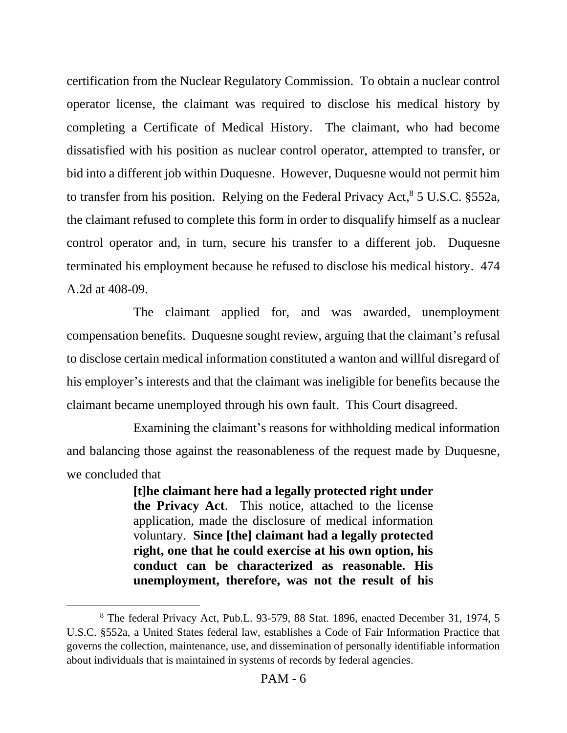certification from the Nuclear Regulatory Commission. To obtain a nuclear control operator license, the claimant was required to disclose his medical history by completing a Certificate of Medical History. The claimant, who had become dissatisfied with his position as nuclear control operator, attempted to transfer, or bid into a different job within Duquesne. However, Duquesne would not permit him to transfer from his position. Relying on the Federal Privacy Act,<sup>8</sup> 5 U.S.C. §552a, the claimant refused to complete this form in order to disqualify himself as a nuclear control operator and, in turn, secure his transfer to a different job. Duquesne terminated his employment because he refused to disclose his medical history. 474 A.2d at 408-09.

The claimant applied for, and was awarded, unemployment compensation benefits. Duquesne sought review, arguing that the claimant's refusal to disclose certain medical information constituted a wanton and willful disregard of his employer's interests and that the claimant was ineligible for benefits because the claimant became unemployed through his own fault. This Court disagreed.

Examining the claimant's reasons for withholding medical information and balancing those against the reasonableness of the request made by Duquesne, we concluded that

> **[t]he claimant here had a legally protected right under the Privacy Act**. This notice, attached to the license application, made the disclosure of medical information voluntary. **Since [the] claimant had a legally protected right, one that he could exercise at his own option, his conduct can be characterized as reasonable. His unemployment, therefore, was not the result of his**

<sup>8</sup> The federal Privacy Act, Pub.L. 93-579, 88 Stat. 1896, enacted December 31, 1974, 5 U.S.C. §552a, a United States federal law, establishes a Code of Fair Information Practice that governs the collection, maintenance, use, and dissemination of personally identifiable information about individuals that is maintained in systems of records by federal agencies.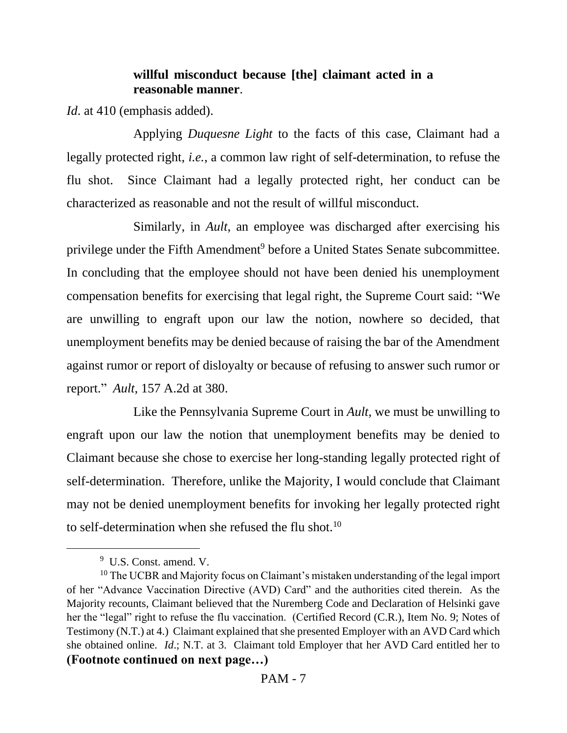# **willful misconduct because [the] claimant acted in a reasonable manner**.

*Id.* at 410 (emphasis added).

Applying *Duquesne Light* to the facts of this case, Claimant had a legally protected right, *i.e.*, a common law right of self-determination, to refuse the flu shot. Since Claimant had a legally protected right, her conduct can be characterized as reasonable and not the result of willful misconduct.

Similarly, in *Ault*, an employee was discharged after exercising his privilege under the Fifth Amendment<sup>9</sup> before a United States Senate subcommittee. In concluding that the employee should not have been denied his unemployment compensation benefits for exercising that legal right, the Supreme Court said: "We are unwilling to engraft upon our law the notion, nowhere so decided, that unemployment benefits may be denied because of raising the bar of the Amendment against rumor or report of disloyalty or because of refusing to answer such rumor or report." *Ault*, 157 A.2d at 380.

Like the Pennsylvania Supreme Court in *Ault*, we must be unwilling to engraft upon our law the notion that unemployment benefits may be denied to Claimant because she chose to exercise her long-standing legally protected right of self-determination. Therefore, unlike the Majority, I would conclude that Claimant may not be denied unemployment benefits for invoking her legally protected right to self-determination when she refused the flu shot.<sup>10</sup>

<sup>&</sup>lt;sup>9</sup> U.S. Const. amend. V.

 $10$  The UCBR and Majority focus on Claimant's mistaken understanding of the legal import of her "Advance Vaccination Directive (AVD) Card" and the authorities cited therein. As the Majority recounts, Claimant believed that the Nuremberg Code and Declaration of Helsinki gave her the "legal" right to refuse the flu vaccination. (Certified Record (C.R.), Item No. 9; Notes of Testimony (N.T.) at 4.) Claimant explained that she presented Employer with an AVD Card which she obtained online. *Id*.; N.T. at 3. Claimant told Employer that her AVD Card entitled her to **(Footnote continued on next page…)**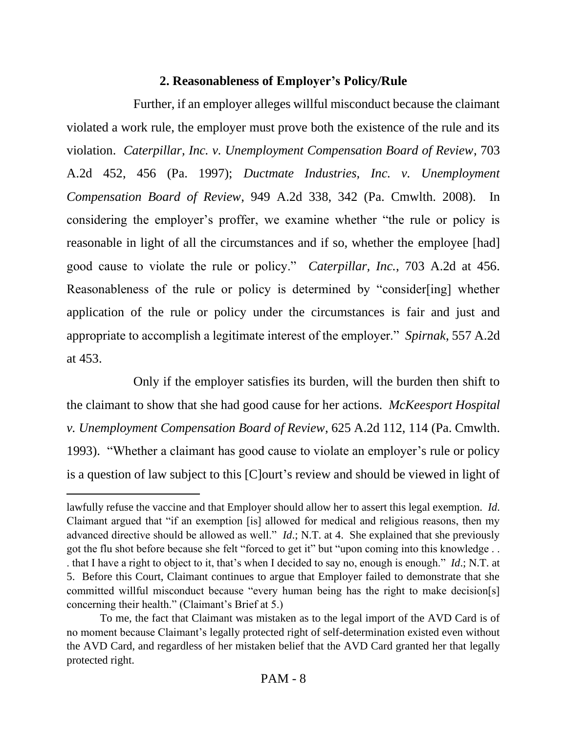# **2. Reasonableness of Employer's Policy/Rule**

Further, if an employer alleges willful misconduct because the claimant violated a work rule, the employer must prove both the existence of the rule and its violation. *Caterpillar, Inc. v. Unemployment Compensation Board of Review*, 703 A.2d 452, 456 (Pa. 1997); *Ductmate Industries, Inc. v. Unemployment Compensation Board of Review*, 949 A.2d 338, 342 (Pa. Cmwlth. 2008). In considering the employer's proffer, we examine whether "the rule or policy is reasonable in light of all the circumstances and if so, whether the employee [had] good cause to violate the rule or policy." *Caterpillar, Inc.*, 703 A.2d at 456. Reasonableness of the rule or policy is determined by "consider[ing] whether application of the rule or policy under the circumstances is fair and just and appropriate to accomplish a legitimate interest of the employer." *Spirnak*, 557 A.2d at 453.

Only if the employer satisfies its burden, will the burden then shift to the claimant to show that she had good cause for her actions. *McKeesport Hospital v. Unemployment Compensation Board of Review*, 625 A.2d 112, 114 (Pa. Cmwlth. 1993). "Whether a claimant has good cause to violate an employer's rule or policy is a question of law subject to this [C]ourt's review and should be viewed in light of

lawfully refuse the vaccine and that Employer should allow her to assert this legal exemption. *Id*. Claimant argued that "if an exemption [is] allowed for medical and religious reasons, then my advanced directive should be allowed as well." *Id*.; N.T. at 4. She explained that she previously got the flu shot before because she felt "forced to get it" but "upon coming into this knowledge . . . that I have a right to object to it, that's when I decided to say no, enough is enough." *Id*.; N.T. at 5. Before this Court, Claimant continues to argue that Employer failed to demonstrate that she committed willful misconduct because "every human being has the right to make decision[s] concerning their health." (Claimant's Brief at 5.)

To me, the fact that Claimant was mistaken as to the legal import of the AVD Card is of no moment because Claimant's legally protected right of self-determination existed even without the AVD Card, and regardless of her mistaken belief that the AVD Card granted her that legally protected right.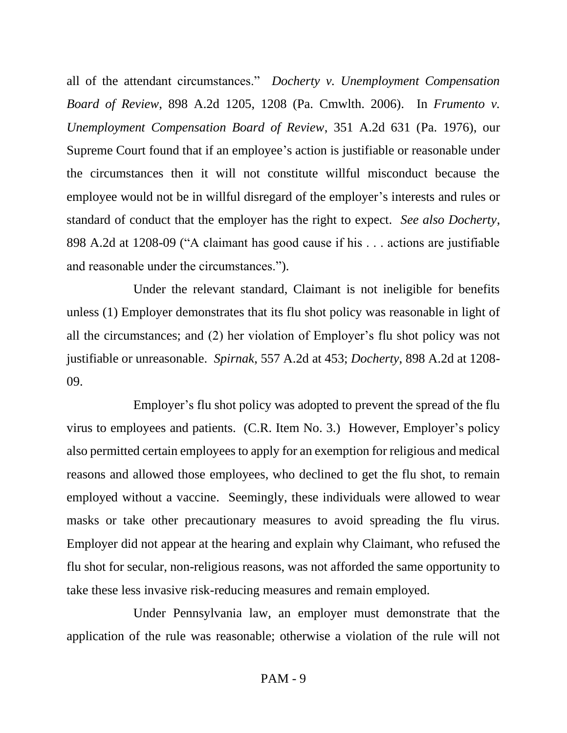all of the attendant circumstances." *Docherty v. Unemployment Compensation Board of Review*, 898 A.2d 1205, 1208 (Pa. Cmwlth. 2006). In *Frumento v. Unemployment Compensation Board of Review*, 351 A.2d 631 (Pa. 1976), our Supreme Court found that if an employee's action is justifiable or reasonable under the circumstances then it will not constitute willful misconduct because the employee would not be in willful disregard of the employer's interests and rules or standard of conduct that the employer has the right to expect. *See also Docherty*, 898 A.2d at 1208-09 ("A claimant has good cause if his . . . actions are justifiable and reasonable under the circumstances.").

Under the relevant standard, Claimant is not ineligible for benefits unless (1) Employer demonstrates that its flu shot policy was reasonable in light of all the circumstances; and (2) her violation of Employer's flu shot policy was not justifiable or unreasonable. *Spirnak*, 557 A.2d at 453; *Docherty*, 898 A.2d at 1208- 09.

Employer's flu shot policy was adopted to prevent the spread of the flu virus to employees and patients. (C.R. Item No. 3.) However, Employer's policy also permitted certain employees to apply for an exemption for religious and medical reasons and allowed those employees, who declined to get the flu shot, to remain employed without a vaccine. Seemingly, these individuals were allowed to wear masks or take other precautionary measures to avoid spreading the flu virus. Employer did not appear at the hearing and explain why Claimant, who refused the flu shot for secular, non-religious reasons, was not afforded the same opportunity to take these less invasive risk-reducing measures and remain employed.

Under Pennsylvania law, an employer must demonstrate that the application of the rule was reasonable; otherwise a violation of the rule will not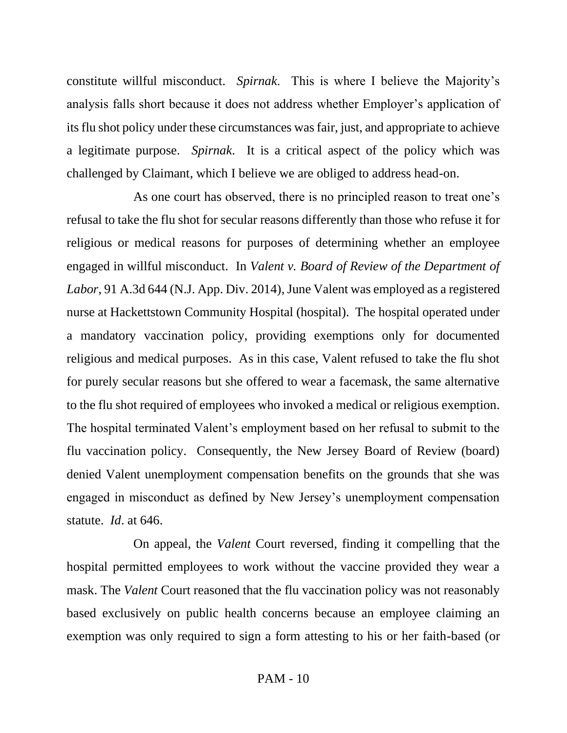constitute willful misconduct. *Spirnak*. This is where I believe the Majority's analysis falls short because it does not address whether Employer's application of its flu shot policy under these circumstances was fair, just, and appropriate to achieve a legitimate purpose. *Spirnak*. It is a critical aspect of the policy which was challenged by Claimant, which I believe we are obliged to address head-on.

As one court has observed, there is no principled reason to treat one's refusal to take the flu shot for secular reasons differently than those who refuse it for religious or medical reasons for purposes of determining whether an employee engaged in willful misconduct. In *Valent v. Board of Review of the Department of Labor*, 91 A.3d 644 (N.J. App. Div. 2014), June Valent was employed as a registered nurse at Hackettstown Community Hospital (hospital). The hospital operated under a mandatory vaccination policy, providing exemptions only for documented religious and medical purposes. As in this case, Valent refused to take the flu shot for purely secular reasons but she offered to wear a facemask, the same alternative to the flu shot required of employees who invoked a medical or religious exemption. The hospital terminated Valent's employment based on her refusal to submit to the flu vaccination policy. Consequently, the New Jersey Board of Review (board) denied Valent unemployment compensation benefits on the grounds that she was engaged in misconduct as defined by New Jersey's unemployment compensation statute. *Id*. at 646.

On appeal, the *Valent* Court reversed, finding it compelling that the hospital permitted employees to work without the vaccine provided they wear a mask. The *Valent* Court reasoned that the flu vaccination policy was not reasonably based exclusively on public health concerns because an employee claiming an exemption was only required to sign a form attesting to his or her faith-based (or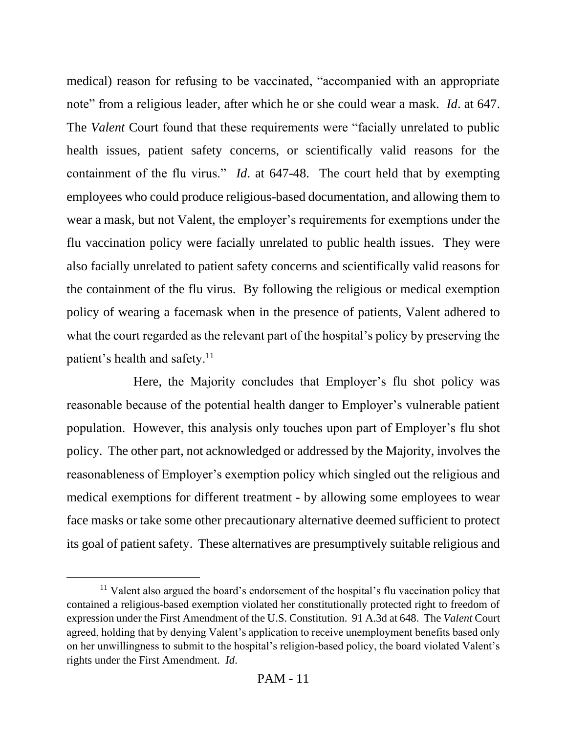medical) reason for refusing to be vaccinated, "accompanied with an appropriate note" from a religious leader, after which he or she could wear a mask. *Id*. at 647. The *Valent* Court found that these requirements were "facially unrelated to public health issues, patient safety concerns, or scientifically valid reasons for the containment of the flu virus." *Id*. at 647-48. The court held that by exempting employees who could produce religious-based documentation, and allowing them to wear a mask, but not Valent, the employer's requirements for exemptions under the flu vaccination policy were facially unrelated to public health issues. They were also facially unrelated to patient safety concerns and scientifically valid reasons for the containment of the flu virus. By following the religious or medical exemption policy of wearing a facemask when in the presence of patients, Valent adhered to what the court regarded as the relevant part of the hospital's policy by preserving the patient's health and safety.<sup>11</sup>

Here, the Majority concludes that Employer's flu shot policy was reasonable because of the potential health danger to Employer's vulnerable patient population. However, this analysis only touches upon part of Employer's flu shot policy. The other part, not acknowledged or addressed by the Majority, involves the reasonableness of Employer's exemption policy which singled out the religious and medical exemptions for different treatment - by allowing some employees to wear face masks or take some other precautionary alternative deemed sufficient to protect its goal of patient safety. These alternatives are presumptively suitable religious and

 $11$  Valent also argued the board's endorsement of the hospital's flu vaccination policy that contained a religious-based exemption violated her constitutionally protected right to freedom of expression under the First Amendment of the U.S. Constitution. 91 A.3d at 648. The *Valent* Court agreed, holding that by denying Valent's application to receive unemployment benefits based only on her unwillingness to submit to the hospital's religion-based policy, the board violated Valent's rights under the First Amendment. *Id*.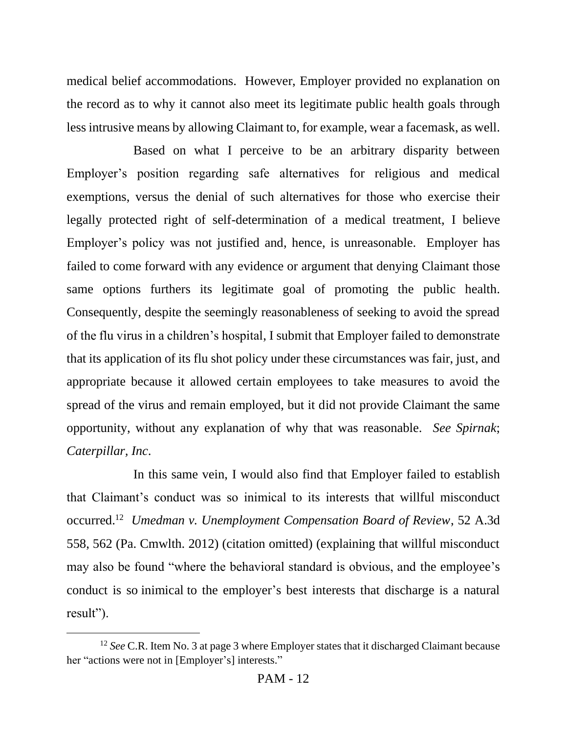medical belief accommodations. However, Employer provided no explanation on the record as to why it cannot also meet its legitimate public health goals through less intrusive means by allowing Claimant to, for example, wear a facemask, as well.

Based on what I perceive to be an arbitrary disparity between Employer's position regarding safe alternatives for religious and medical exemptions, versus the denial of such alternatives for those who exercise their legally protected right of self-determination of a medical treatment, I believe Employer's policy was not justified and, hence, is unreasonable. Employer has failed to come forward with any evidence or argument that denying Claimant those same options furthers its legitimate goal of promoting the public health. Consequently, despite the seemingly reasonableness of seeking to avoid the spread of the flu virus in a children's hospital, I submit that Employer failed to demonstrate that its application of its flu shot policy under these circumstances was fair, just, and appropriate because it allowed certain employees to take measures to avoid the spread of the virus and remain employed, but it did not provide Claimant the same opportunity, without any explanation of why that was reasonable. *See Spirnak*; *Caterpillar, Inc*.

In this same vein, I would also find that Employer failed to establish that Claimant's conduct was so inimical to its interests that willful misconduct occurred.<sup>12</sup> *Umedman v. Unemployment Compensation Board of Review*, 52 A.3d 558, 562 (Pa. Cmwlth. 2012) (citation omitted) (explaining that willful misconduct may also be found "where the behavioral standard is obvious, and the employee's conduct is so inimical to the employer's best interests that discharge is a natural result").

<sup>&</sup>lt;sup>12</sup> See C.R. Item No. 3 at page 3 where Employer states that it discharged Claimant because her "actions were not in [Employer's] interests."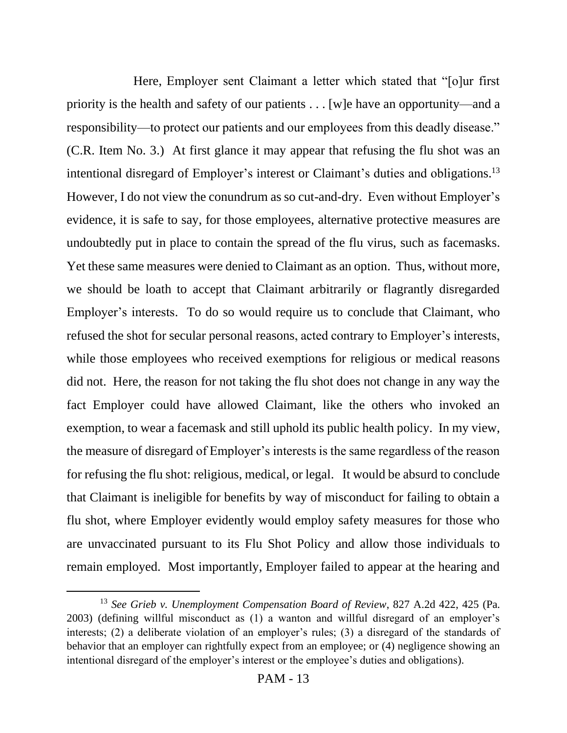Here, Employer sent Claimant a letter which stated that "[o]ur first priority is the health and safety of our patients . . . [w]e have an opportunity—and a responsibility—to protect our patients and our employees from this deadly disease." (C.R. Item No. 3.) At first glance it may appear that refusing the flu shot was an intentional disregard of Employer's interest or Claimant's duties and obligations. 13 However, I do not view the conundrum as so cut-and-dry. Even without Employer's evidence, it is safe to say, for those employees, alternative protective measures are undoubtedly put in place to contain the spread of the flu virus, such as facemasks. Yet these same measures were denied to Claimant as an option. Thus, without more, we should be loath to accept that Claimant arbitrarily or flagrantly disregarded Employer's interests. To do so would require us to conclude that Claimant, who refused the shot for secular personal reasons, acted contrary to Employer's interests, while those employees who received exemptions for religious or medical reasons did not. Here, the reason for not taking the flu shot does not change in any way the fact Employer could have allowed Claimant, like the others who invoked an exemption, to wear a facemask and still uphold its public health policy. In my view, the measure of disregard of Employer's interests is the same regardless of the reason for refusing the flu shot: religious, medical, or legal. It would be absurd to conclude that Claimant is ineligible for benefits by way of misconduct for failing to obtain a flu shot, where Employer evidently would employ safety measures for those who are unvaccinated pursuant to its Flu Shot Policy and allow those individuals to remain employed. Most importantly, Employer failed to appear at the hearing and

<sup>13</sup> *See Grieb v. Unemployment Compensation Board of Review*, 827 A.2d 422, 425 (Pa. 2003) (defining willful misconduct as (1) a wanton and willful disregard of an employer's interests; (2) a deliberate violation of an employer's rules; (3) a disregard of the standards of behavior that an employer can rightfully expect from an employee; or (4) negligence showing an intentional disregard of the employer's interest or the employee's duties and obligations).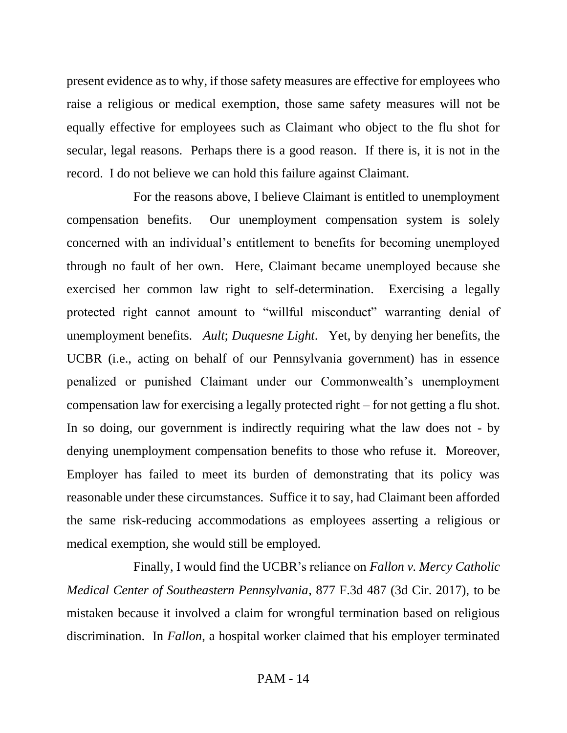present evidence as to why, if those safety measures are effective for employees who raise a religious or medical exemption, those same safety measures will not be equally effective for employees such as Claimant who object to the flu shot for secular, legal reasons. Perhaps there is a good reason. If there is, it is not in the record. I do not believe we can hold this failure against Claimant.

For the reasons above, I believe Claimant is entitled to unemployment compensation benefits. Our unemployment compensation system is solely concerned with an individual's entitlement to benefits for becoming unemployed through no fault of her own. Here, Claimant became unemployed because she exercised her common law right to self-determination. Exercising a legally protected right cannot amount to "willful misconduct" warranting denial of unemployment benefits. *Ault*; *Duquesne Light*. Yet, by denying her benefits, the UCBR (i.e., acting on behalf of our Pennsylvania government) has in essence penalized or punished Claimant under our Commonwealth's unemployment compensation law for exercising a legally protected right – for not getting a flu shot. In so doing, our government is indirectly requiring what the law does not - by denying unemployment compensation benefits to those who refuse it. Moreover, Employer has failed to meet its burden of demonstrating that its policy was reasonable under these circumstances. Suffice it to say, had Claimant been afforded the same risk-reducing accommodations as employees asserting a religious or medical exemption, she would still be employed.

Finally, I would find the UCBR's reliance on *Fallon v. Mercy Catholic Medical Center of Southeastern Pennsylvania*, 877 F.3d 487 (3d Cir. 2017), to be mistaken because it involved a claim for wrongful termination based on religious discrimination. In *Fallon*, a hospital worker claimed that his employer terminated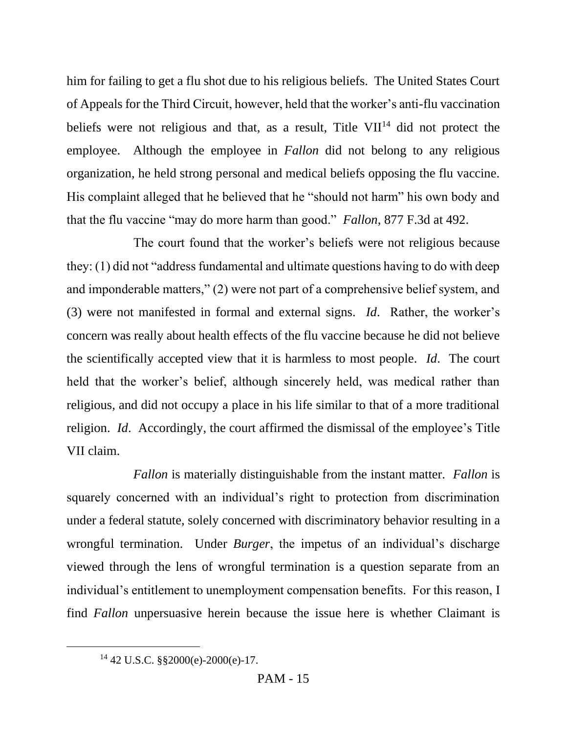him for failing to get a flu shot due to his religious beliefs. The United States Court of Appeals for the Third Circuit, however, held that the worker's anti-flu vaccination beliefs were not religious and that, as a result, Title  $VII^{14}$  did not protect the employee. Although the employee in *Fallon* did not belong to any religious organization, he held strong personal and medical beliefs opposing the flu vaccine. His complaint alleged that he believed that he "should not harm" his own body and that the flu vaccine "may do more harm than good." *Fallon*, 877 F.3d at 492.

The court found that the worker's beliefs were not religious because they: (1) did not "address fundamental and ultimate questions having to do with deep and imponderable matters," (2) were not part of a comprehensive belief system, and (3) were not manifested in formal and external signs. *Id*. Rather, the worker's concern was really about health effects of the flu vaccine because he did not believe the scientifically accepted view that it is harmless to most people. *Id*. The court held that the worker's belief, although sincerely held, was medical rather than religious, and did not occupy a place in his life similar to that of a more traditional religion. *Id*. Accordingly, the court affirmed the dismissal of the employee's Title VII claim.

*Fallon* is materially distinguishable from the instant matter. *Fallon* is squarely concerned with an individual's right to protection from discrimination under a federal statute, solely concerned with discriminatory behavior resulting in a wrongful termination. Under *Burger*, the impetus of an individual's discharge viewed through the lens of wrongful termination is a question separate from an individual's entitlement to unemployment compensation benefits. For this reason, I find *Fallon* unpersuasive herein because the issue here is whether Claimant is

<sup>14</sup> 42 U.S.C. §§2000(e)-2000(e)-17.